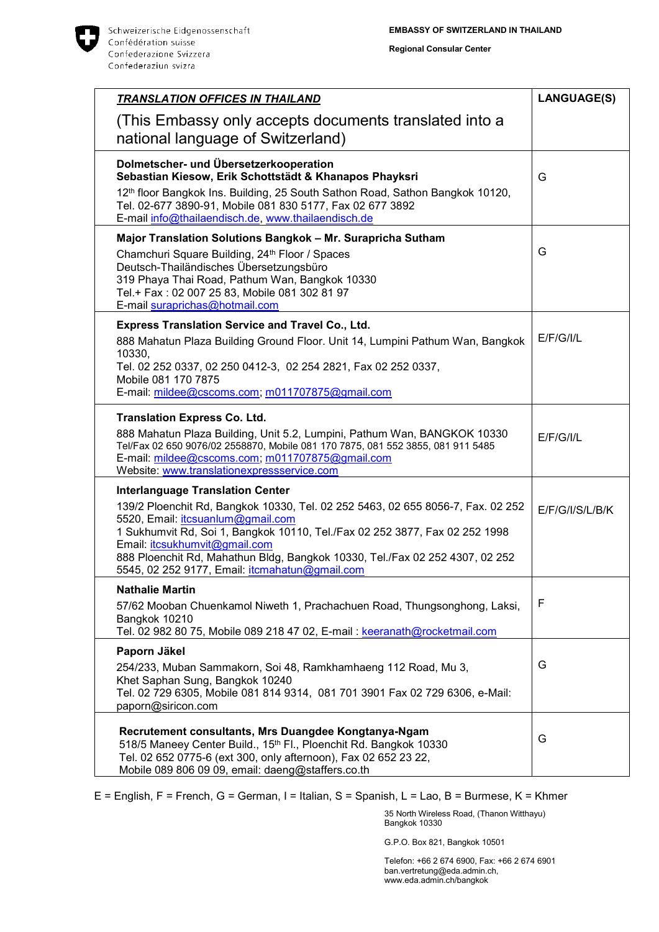

**Regional Consular Center**

| <b>TRANSLATION OFFICES IN THAILAND</b>                                                                                                                                                                                                                                                               | <b>LANGUAGE(S)</b> |
|------------------------------------------------------------------------------------------------------------------------------------------------------------------------------------------------------------------------------------------------------------------------------------------------------|--------------------|
| (This Embassy only accepts documents translated into a<br>national language of Switzerland)                                                                                                                                                                                                          |                    |
| Dolmetscher- und Übersetzerkooperation<br>Sebastian Kiesow, Erik Schottstädt & Khanapos Phayksri<br>12th floor Bangkok Ins. Building, 25 South Sathon Road, Sathon Bangkok 10120,<br>Tel. 02-677 3890-91, Mobile 081 830 5177, Fax 02 677 3892<br>E-mail info@thailaendisch.de, www.thailaendisch.de | G                  |
| Major Translation Solutions Bangkok - Mr. Surapricha Sutham<br>Chamchuri Square Building, 24th Floor / Spaces<br>Deutsch-Thailändisches Übersetzungsbüro<br>319 Phaya Thai Road, Pathum Wan, Bangkok 10330<br>Tel.+ Fax: 02 007 25 83, Mobile 081 302 81 97<br>E-mail suraprichas@hotmail.com        | G                  |
| <b>Express Translation Service and Travel Co., Ltd.</b><br>888 Mahatun Plaza Building Ground Floor. Unit 14, Lumpini Pathum Wan, Bangkok<br>10330,<br>Tel. 02 252 0337, 02 250 0412-3, 02 254 2821, Fax 02 252 0337,<br>Mobile 081 170 7875<br>E-mail: mildee@cscoms.com; m011707875@gmail.com       | E/F/G/1/L          |
| <b>Translation Express Co. Ltd.</b>                                                                                                                                                                                                                                                                  |                    |
| 888 Mahatun Plaza Building, Unit 5.2, Lumpini, Pathum Wan, BANGKOK 10330<br>Tel/Fax 02 650 9076/02 2558870, Mobile 081 170 7875, 081 552 3855, 081 911 5485<br>E-mail: mildee@cscoms.com; m011707875@gmail.com<br>Website: www.translationexpressservice.com                                         | E/F/G/II/L         |
| <b>Interlanguage Translation Center</b>                                                                                                                                                                                                                                                              |                    |
| 139/2 Ploenchit Rd, Bangkok 10330, Tel. 02 252 5463, 02 655 8056-7, Fax. 02 252<br>5520, Email: itcsuanlum@gmail.com<br>1 Sukhumvit Rd, Soi 1, Bangkok 10110, Tel./Fax 02 252 3877, Fax 02 252 1998<br>Email: itcsukhumvit@gmail.com                                                                 | E/F/G/I/S/L/B/K    |
| 888 Ploenchit Rd, Mahathun Bldg, Bangkok 10330, Tel./Fax 02 252 4307, 02 252<br>5545, 02 252 9177, Email: <i>itcmahatun@gmail.com</i>                                                                                                                                                                |                    |
| <b>Nathalie Martin</b><br>57/62 Mooban Chuenkamol Niweth 1, Prachachuen Road, Thungsonghong, Laksi,<br>Bangkok 10210                                                                                                                                                                                 | F                  |
| Tel. 02 982 80 75, Mobile 089 218 47 02, E-mail: keeranath@rocketmail.com                                                                                                                                                                                                                            |                    |
| Paporn Jäkel                                                                                                                                                                                                                                                                                         |                    |
| 254/233, Muban Sammakorn, Soi 48, Ramkhamhaeng 112 Road, Mu 3,<br>Khet Saphan Sung, Bangkok 10240<br>Tel. 02 729 6305, Mobile 081 814 9314, 081 701 3901 Fax 02 729 6306, e-Mail:<br>paporn@siricon.com                                                                                              | G                  |
| Recrutement consultants, Mrs Duangdee Kongtanya-Ngam<br>518/5 Maneey Center Build., 15th Fl., Ploenchit Rd. Bangkok 10330<br>Tel. 02 652 0775-6 (ext 300, only afternoon), Fax 02 652 23 22,<br>Mobile 089 806 09 09, email: daeng@staffers.co.th                                                    | G                  |

E = English, F = French, G = German, I = Italian, S = Spanish, L = Lao, B = Burmese, K = Khmer

35 North Wireless Road, (Thanon Witthayu) Bangkok 10330

G.P.O. Box 821, Bangkok 10501

Telefon: +66 2 674 6900, Fax: +66 2 674 6901 ban.vertretung@eda.admin.ch, www.eda.admin.ch/bangkok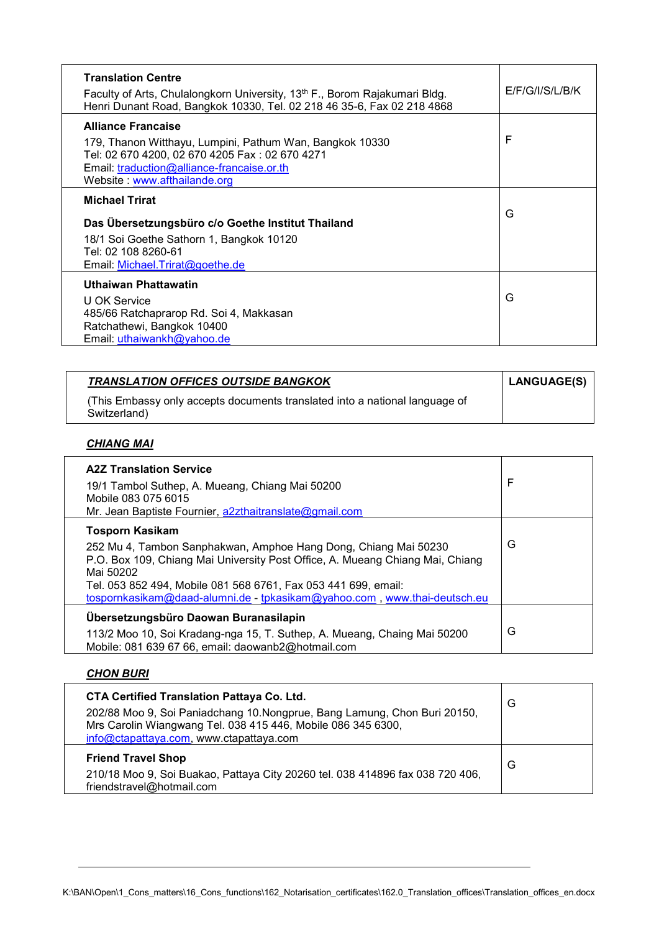| <b>Translation Centre</b><br>Faculty of Arts, Chulalongkorn University, 13 <sup>th</sup> F., Borom Rajakumari Bldg.<br>Henri Dunant Road, Bangkok 10330, Tel. 02 218 46 35-6, Fax 02 218 4868                         | E/F/G/I/S/L/B/K |
|-----------------------------------------------------------------------------------------------------------------------------------------------------------------------------------------------------------------------|-----------------|
| <b>Alliance Francaise</b><br>179, Thanon Witthayu, Lumpini, Pathum Wan, Bangkok 10330<br>Tel: 02 670 4200, 02 670 4205 Fax: 02 670 4271<br>Email: traduction@alliance-francaise.or.th<br>Website: www.afthailande.org | F               |
| <b>Michael Trirat</b><br>Das Übersetzungsbüro c/o Goethe Institut Thailand<br>18/1 Soi Goethe Sathorn 1, Bangkok 10120<br>Tel: 02 108 8260-61<br>Email: Michael.Trirat@goethe.de                                      | G               |
| <b>Uthaiwan Phattawatin</b><br>U OK Service<br>485/66 Ratchaprarop Rd. Soi 4, Makkasan<br>Ratchathewi, Bangkok 10400<br>Email: uthaiwankh@yahoo.de                                                                    | G               |

| <b>TRANSLATION OFFICES OUTSIDE BANGKOK</b>                                                  | LANGUAGE(S) |
|---------------------------------------------------------------------------------------------|-------------|
| (This Embassy only accepts documents translated into a national language of<br>Switzerland) |             |

## *CHIANG MAI*

| <b>A2Z Translation Service</b><br>19/1 Tambol Suthep, A. Mueang, Chiang Mai 50200<br>Mobile 083 075 6015<br>Mr. Jean Baptiste Fournier, a2zthaitranslate@gmail.com                                                                                                                                                                    | F |
|---------------------------------------------------------------------------------------------------------------------------------------------------------------------------------------------------------------------------------------------------------------------------------------------------------------------------------------|---|
| <b>Tosporn Kasikam</b><br>252 Mu 4, Tambon Sanphakwan, Amphoe Hang Dong, Chiang Mai 50230<br>P.O. Box 109, Chiang Mai University Post Office, A. Mueang Chiang Mai, Chiang<br>Mai 50202<br>Tel. 053 852 494, Mobile 081 568 6761, Fax 053 441 699, email:<br>tospornkasikam@daad-alumni.de - tpkasikam@yahoo.com, www.thai-deutsch.eu | G |
| Übersetzungsbüro Daowan Buranasilapin<br>113/2 Moo 10, Soi Kradang-nga 15, T. Suthep, A. Mueang, Chaing Mai 50200<br>Mobile: 081 639 67 66, email: daowanb2@hotmail.com                                                                                                                                                               | G |

## *CHON BURI*

| <b>CTA Certified Translation Pattaya Co. Ltd.</b><br>202/88 Moo 9, Soi Paniadchang 10. Nongprue, Bang Lamung, Chon Buri 20150,<br>Mrs Carolin Wiangwang Tel. 038 415 446, Mobile 086 345 6300,<br>info@ctapattaya.com, www.ctapattaya.com | G |
|-------------------------------------------------------------------------------------------------------------------------------------------------------------------------------------------------------------------------------------------|---|
| <b>Friend Travel Shop</b><br>210/18 Moo 9, Soi Buakao, Pattaya City 20260 tel. 038 414896 fax 038 720 406,<br>friendstravel@hotmail.com                                                                                                   | G |